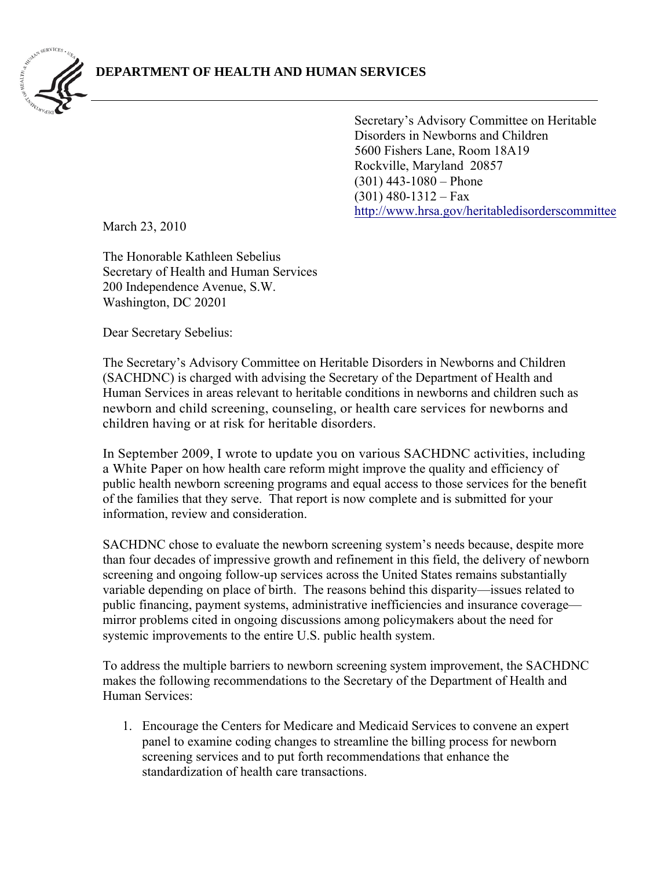

 http://www.hrsa.gov/heritabledisorderscommittee Secretary's Advisory Committee on Heritable Disorders in Newborns and Children 5600 Fishers Lane, Room 18A19 Rockville, Maryland 20857 (301) 443-1080 – Phone  $(301)$  480-1312 – Fax

March 23, 2010

The Honorable Kathleen Sebelius Secretary of Health and Human Services 200 Independence Avenue, S.W. Washington, DC 20201

Dear Secretary Sebelius:

The Secretary's Advisory Committee on Heritable Disorders in Newborns and Children (SACHDNC) is charged with advising the Secretary of the Department of Health and Human Services in areas relevant to heritable conditions in newborns and children such as newborn and child screening, counseling, or health care services for newborns and children having or at risk for heritable disorders.

In September 2009, I wrote to update you on various SACHDNC activities, including a White Paper on how health care reform might improve the quality and efficiency of public health newborn screening programs and equal access to those services for the benefit of the families that they serve. That report is now complete and is submitted for your information, review and consideration.

SACHDNC chose to evaluate the newborn screening system's needs because, despite more than four decades of impressive growth and refinement in this field, the delivery of newborn screening and ongoing follow-up services across the United States remains substantially variable depending on place of birth. The reasons behind this disparity—issues related to public financing, payment systems, administrative inefficiencies and insurance coverage mirror problems cited in ongoing discussions among policymakers about the need for systemic improvements to the entire U.S. public health system.

To address the multiple barriers to newborn screening system improvement, the SACHDNC makes the following recommendations to the Secretary of the Department of Health and Human Services:

 1.Encourage the Centers for Medicare and Medicaid Services to convene an expert panel to examine coding changes to streamline the billing process for newborn screening services and to put forth recommendations that enhance the standardization of health care transactions.